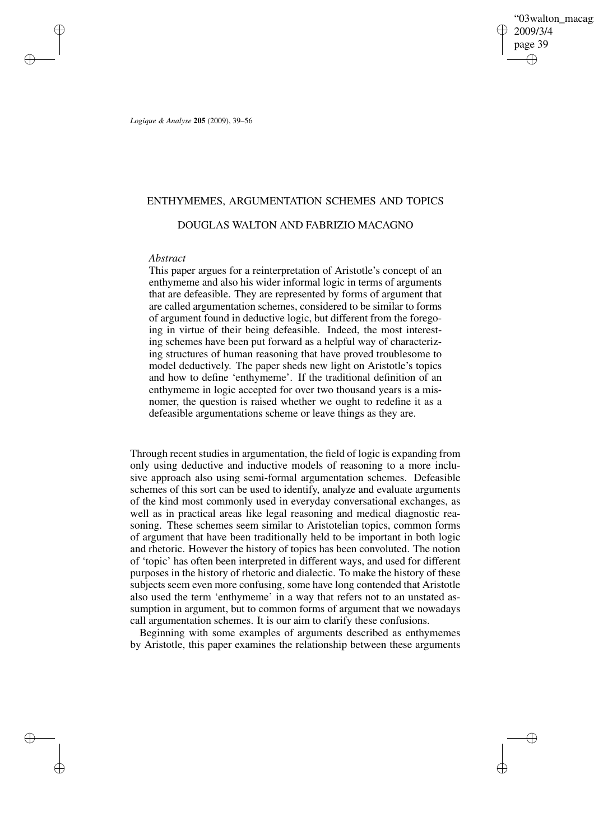'03walton\_macag 2009/3/4 page 39 ✐ ✐

✐

✐

*Logique & Analyse* **205** (2009), 39–56

✐

✐

✐

✐

# ENTHYMEMES, ARGUMENTATION SCHEMES AND TOPICS

# DOUGLAS WALTON AND FABRIZIO MACAGNO

# *Abstract*

This paper argues for a reinterpretation of Aristotle's concept of an enthymeme and also his wider informal logic in terms of arguments that are defeasible. They are represented by forms of argument that are called argumentation schemes, considered to be similar to forms of argument found in deductive logic, but different from the foregoing in virtue of their being defeasible. Indeed, the most interesting schemes have been put forward as a helpful way of characterizing structures of human reasoning that have proved troublesome to model deductively. The paper sheds new light on Aristotle's topics and how to define 'enthymeme'. If the traditional definition of an enthymeme in logic accepted for over two thousand years is a misnomer, the question is raised whether we ought to redefine it as a defeasible argumentations scheme or leave things as they are.

Through recent studies in argumentation, the field of logic is expanding from only using deductive and inductive models of reasoning to a more inclusive approach also using semi-formal argumentation schemes. Defeasible schemes of this sort can be used to identify, analyze and evaluate arguments of the kind most commonly used in everyday conversational exchanges, as well as in practical areas like legal reasoning and medical diagnostic reasoning. These schemes seem similar to Aristotelian topics, common forms of argument that have been traditionally held to be important in both logic and rhetoric. However the history of topics has been convoluted. The notion of 'topic' has often been interpreted in different ways, and used for different purposes in the history of rhetoric and dialectic. To make the history of these subjects seem even more confusing, some have long contended that Aristotle also used the term 'enthymeme' in a way that refers not to an unstated assumption in argument, but to common forms of argument that we nowadays call argumentation schemes. It is our aim to clarify these confusions.

Beginning with some examples of arguments described as enthymemes by Aristotle, this paper examines the relationship between these arguments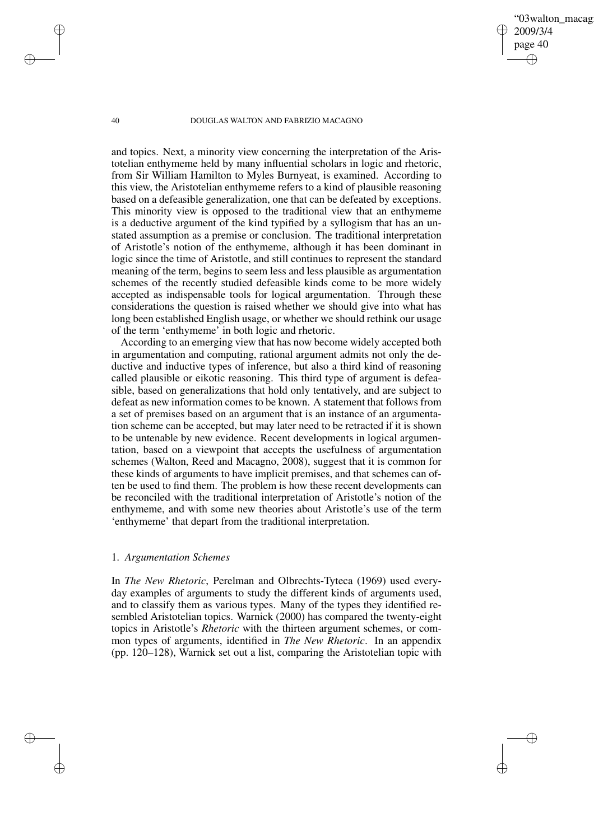'03walton\_macag 2009/3/4 page 40 ✐ ✐

✐

✐

#### 40 DOUGLAS WALTON AND FABRIZIO MACAGNO

and topics. Next, a minority view concerning the interpretation of the Aristotelian enthymeme held by many influential scholars in logic and rhetoric, from Sir William Hamilton to Myles Burnyeat, is examined. According to this view, the Aristotelian enthymeme refers to a kind of plausible reasoning based on a defeasible generalization, one that can be defeated by exceptions. This minority view is opposed to the traditional view that an enthymeme is a deductive argument of the kind typified by a syllogism that has an unstated assumption as a premise or conclusion. The traditional interpretation of Aristotle's notion of the enthymeme, although it has been dominant in logic since the time of Aristotle, and still continues to represent the standard meaning of the term, begins to seem less and less plausible as argumentation schemes of the recently studied defeasible kinds come to be more widely accepted as indispensable tools for logical argumentation. Through these considerations the question is raised whether we should give into what has long been established English usage, or whether we should rethink our usage of the term 'enthymeme' in both logic and rhetoric.

According to an emerging view that has now become widely accepted both in argumentation and computing, rational argument admits not only the deductive and inductive types of inference, but also a third kind of reasoning called plausible or eikotic reasoning. This third type of argument is defeasible, based on generalizations that hold only tentatively, and are subject to defeat as new information comes to be known. A statement that follows from a set of premises based on an argument that is an instance of an argumentation scheme can be accepted, but may later need to be retracted if it is shown to be untenable by new evidence. Recent developments in logical argumentation, based on a viewpoint that accepts the usefulness of argumentation schemes (Walton, Reed and Macagno, 2008), suggest that it is common for these kinds of arguments to have implicit premises, and that schemes can often be used to find them. The problem is how these recent developments can be reconciled with the traditional interpretation of Aristotle's notion of the enthymeme, and with some new theories about Aristotle's use of the term 'enthymeme' that depart from the traditional interpretation.

### 1. *Argumentation Schemes*

In *The New Rhetoric*, Perelman and Olbrechts-Tyteca (1969) used everyday examples of arguments to study the different kinds of arguments used, and to classify them as various types. Many of the types they identified resembled Aristotelian topics. Warnick (2000) has compared the twenty-eight topics in Aristotle's *Rhetoric* with the thirteen argument schemes, or common types of arguments, identified in *The New Rhetoric*. In an appendix (pp. 120–128), Warnick set out a list, comparing the Aristotelian topic with

✐

✐

✐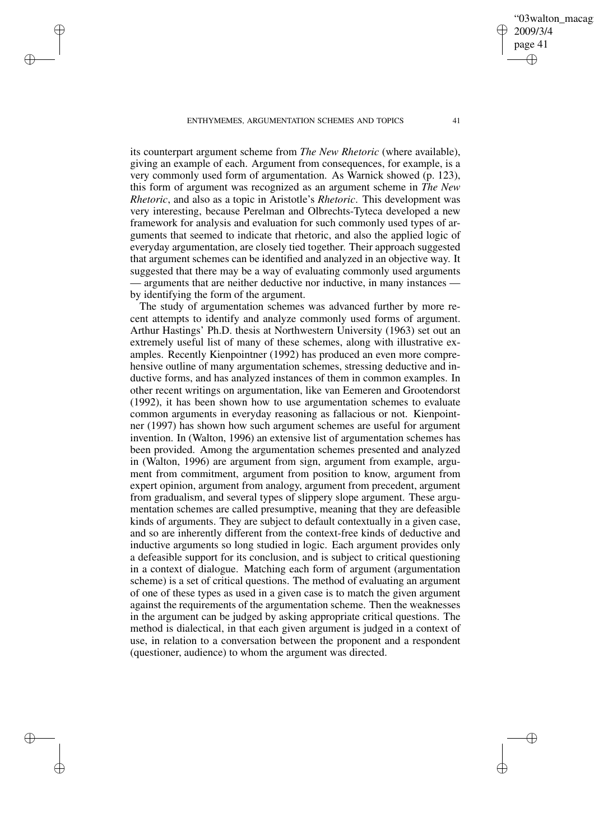✐

✐

✐

✐

its counterpart argument scheme from *The New Rhetoric* (where available), giving an example of each. Argument from consequences, for example, is a very commonly used form of argumentation. As Warnick showed (p. 123), this form of argument was recognized as an argument scheme in *The New Rhetoric*, and also as a topic in Aristotle's *Rhetoric*. This development was very interesting, because Perelman and Olbrechts-Tyteca developed a new framework for analysis and evaluation for such commonly used types of arguments that seemed to indicate that rhetoric, and also the applied logic of everyday argumentation, are closely tied together. Their approach suggested that argument schemes can be identified and analyzed in an objective way. It suggested that there may be a way of evaluating commonly used arguments — arguments that are neither deductive nor inductive, in many instances by identifying the form of the argument.

The study of argumentation schemes was advanced further by more recent attempts to identify and analyze commonly used forms of argument. Arthur Hastings' Ph.D. thesis at Northwestern University (1963) set out an extremely useful list of many of these schemes, along with illustrative examples. Recently Kienpointner (1992) has produced an even more comprehensive outline of many argumentation schemes, stressing deductive and inductive forms, and has analyzed instances of them in common examples. In other recent writings on argumentation, like van Eemeren and Grootendorst (1992), it has been shown how to use argumentation schemes to evaluate common arguments in everyday reasoning as fallacious or not. Kienpointner (1997) has shown how such argument schemes are useful for argument invention. In (Walton, 1996) an extensive list of argumentation schemes has been provided. Among the argumentation schemes presented and analyzed in (Walton, 1996) are argument from sign, argument from example, argument from commitment, argument from position to know, argument from expert opinion, argument from analogy, argument from precedent, argument from gradualism, and several types of slippery slope argument. These argumentation schemes are called presumptive, meaning that they are defeasible kinds of arguments. They are subject to default contextually in a given case, and so are inherently different from the context-free kinds of deductive and inductive arguments so long studied in logic. Each argument provides only a defeasible support for its conclusion, and is subject to critical questioning in a context of dialogue. Matching each form of argument (argumentation scheme) is a set of critical questions. The method of evaluating an argument of one of these types as used in a given case is to match the given argument against the requirements of the argumentation scheme. Then the weaknesses in the argument can be judged by asking appropriate critical questions. The method is dialectical, in that each given argument is judged in a context of use, in relation to a conversation between the proponent and a respondent (questioner, audience) to whom the argument was directed.

✐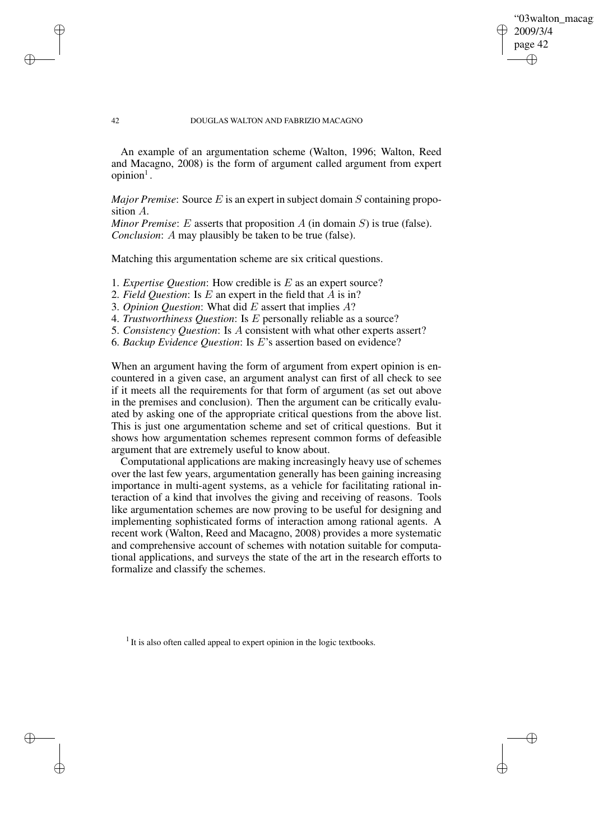### '03walton\_macag 2009/3/4 page 42 ✐ ✐

✐

✐

#### 42 DOUGLAS WALTON AND FABRIZIO MACAGNO

✐

✐

✐

✐

An example of an argumentation scheme (Walton, 1996; Walton, Reed and Macagno, 2008) is the form of argument called argument from expert  $opinion<sup>1</sup>$ .

*Major Premise*: Source  $E$  is an expert in subject domain  $S$  containing proposition A.

*Minor Premise:*  $E$  asserts that proposition  $A$  (in domain  $S$ ) is true (false). *Conclusion*: A may plausibly be taken to be true (false).

Matching this argumentation scheme are six critical questions.

1. *Expertise Question*: How credible is E as an expert source?

2. *Field Question*: Is E an expert in the field that A is in?

3. *Opinion Question*: What did E assert that implies A?

4. *Trustworthiness Question*: Is E personally reliable as a source?

5. *Consistency Question*: Is A consistent with what other experts assert?

6. *Backup Evidence Question*: Is E's assertion based on evidence?

When an argument having the form of argument from expert opinion is encountered in a given case, an argument analyst can first of all check to see if it meets all the requirements for that form of argument (as set out above in the premises and conclusion). Then the argument can be critically evaluated by asking one of the appropriate critical questions from the above list. This is just one argumentation scheme and set of critical questions. But it shows how argumentation schemes represent common forms of defeasible argument that are extremely useful to know about.

Computational applications are making increasingly heavy use of schemes over the last few years, argumentation generally has been gaining increasing importance in multi-agent systems, as a vehicle for facilitating rational interaction of a kind that involves the giving and receiving of reasons. Tools like argumentation schemes are now proving to be useful for designing and implementing sophisticated forms of interaction among rational agents. A recent work (Walton, Reed and Macagno, 2008) provides a more systematic and comprehensive account of schemes with notation suitable for computational applications, and surveys the state of the art in the research efforts to formalize and classify the schemes.

 $<sup>1</sup>$  It is also often called appeal to expert opinion in the logic textbooks.</sup>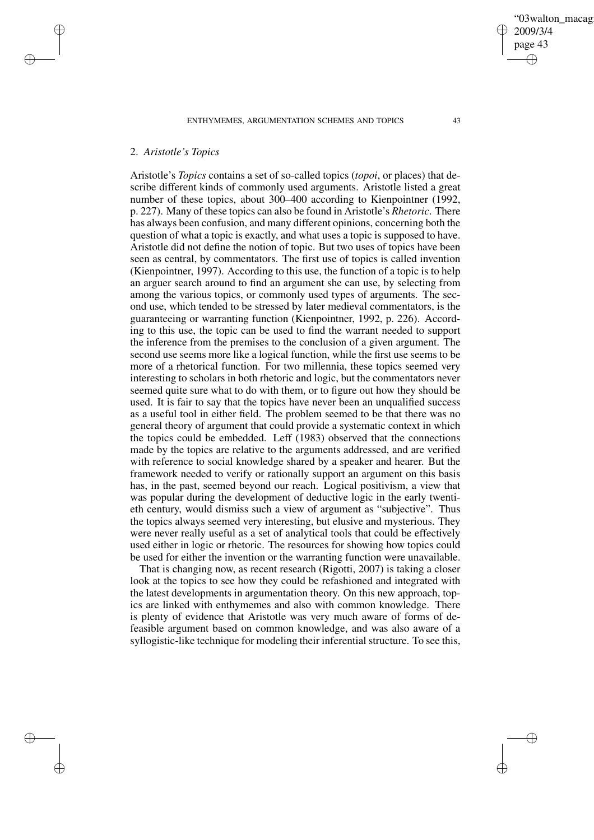# 2. *Aristotle's Topics*

✐

✐

✐

✐

Aristotle's *Topics* contains a set of so-called topics (*topoi*, or places) that describe different kinds of commonly used arguments. Aristotle listed a great number of these topics, about 300–400 according to Kienpointner (1992, p. 227). Many of these topics can also be found in Aristotle's *Rhetoric*. There has always been confusion, and many different opinions, concerning both the question of what a topic is exactly, and what uses a topic is supposed to have. Aristotle did not define the notion of topic. But two uses of topics have been seen as central, by commentators. The first use of topics is called invention (Kienpointner, 1997). According to this use, the function of a topic is to help an arguer search around to find an argument she can use, by selecting from among the various topics, or commonly used types of arguments. The second use, which tended to be stressed by later medieval commentators, is the guaranteeing or warranting function (Kienpointner, 1992, p. 226). According to this use, the topic can be used to find the warrant needed to support the inference from the premises to the conclusion of a given argument. The second use seems more like a logical function, while the first use seems to be more of a rhetorical function. For two millennia, these topics seemed very interesting to scholars in both rhetoric and logic, but the commentators never seemed quite sure what to do with them, or to figure out how they should be used. It is fair to say that the topics have never been an unqualified success as a useful tool in either field. The problem seemed to be that there was no general theory of argument that could provide a systematic context in which the topics could be embedded. Leff (1983) observed that the connections made by the topics are relative to the arguments addressed, and are verified with reference to social knowledge shared by a speaker and hearer. But the framework needed to verify or rationally support an argument on this basis has, in the past, seemed beyond our reach. Logical positivism, a view that was popular during the development of deductive logic in the early twentieth century, would dismiss such a view of argument as "subjective". Thus the topics always seemed very interesting, but elusive and mysterious. They were never really useful as a set of analytical tools that could be effectively used either in logic or rhetoric. The resources for showing how topics could be used for either the invention or the warranting function were unavailable.

That is changing now, as recent research (Rigotti, 2007) is taking a closer look at the topics to see how they could be refashioned and integrated with the latest developments in argumentation theory. On this new approach, topics are linked with enthymemes and also with common knowledge. There is plenty of evidence that Aristotle was very much aware of forms of defeasible argument based on common knowledge, and was also aware of a syllogistic-like technique for modeling their inferential structure. To see this,

'03walton\_macag

2009/3/4 page 43

✐

✐

✐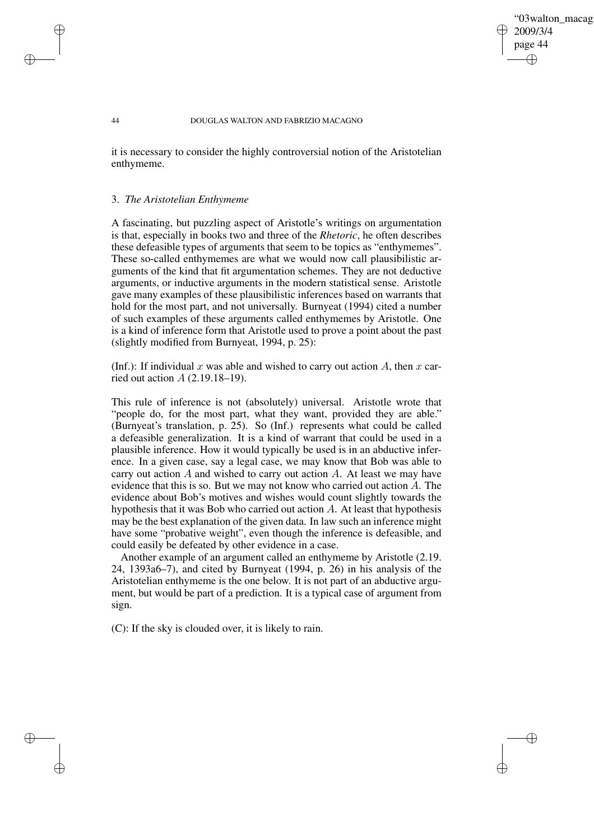### '03walton\_macag 2009/3/4 page 44 ✐ ✐

✐

✐

#### 44 DOUGLAS WALTON AND FABRIZIO MACAGNO

it is necessary to consider the highly controversial notion of the Aristotelian enthymeme.

### 3. *The Aristotelian Enthymeme*

✐

✐

✐

✐

A fascinating, but puzzling aspect of Aristotle's writings on argumentation is that, especially in books two and three of the *Rhetoric*, he often describes these defeasible types of arguments that seem to be topics as "enthymemes". These so-called enthymemes are what we would now call plausibilistic arguments of the kind that fit argumentation schemes. They are not deductive arguments, or inductive arguments in the modern statistical sense. Aristotle gave many examples of these plausibilistic inferences based on warrants that hold for the most part, and not universally. Burnyeat (1994) cited a number of such examples of these arguments called enthymemes by Aristotle. One is a kind of inference form that Aristotle used to prove a point about the past (slightly modified from Burnyeat, 1994, p. 25):

(Inf.): If individual x was able and wished to carry out action A, then x carried out action  $A(2.19.18-19)$ .

This rule of inference is not (absolutely) universal. Aristotle wrote that "people do, for the most part, what they want, provided they are able." (Burnyeat's translation, p. 25). So (Inf.) represents what could be called a defeasible generalization. It is a kind of warrant that could be used in a plausible inference. How it would typically be used is in an abductive inference. In a given case, say a legal case, we may know that Bob was able to carry out action A and wished to carry out action A. At least we may have evidence that this is so. But we may not know who carried out action A. The evidence about Bob's motives and wishes would count slightly towards the hypothesis that it was Bob who carried out action A. At least that hypothesis may be the best explanation of the given data. In law such an inference might have some "probative weight", even though the inference is defeasible, and could easily be defeated by other evidence in a case.

Another example of an argument called an enthymeme by Aristotle (2.19. 24, 1393a6–7), and cited by Burnyeat (1994, p. 26) in his analysis of the Aristotelian enthymeme is the one below. It is not part of an abductive argument, but would be part of a prediction. It is a typical case of argument from sign.

(C): If the sky is clouded over, it is likely to rain.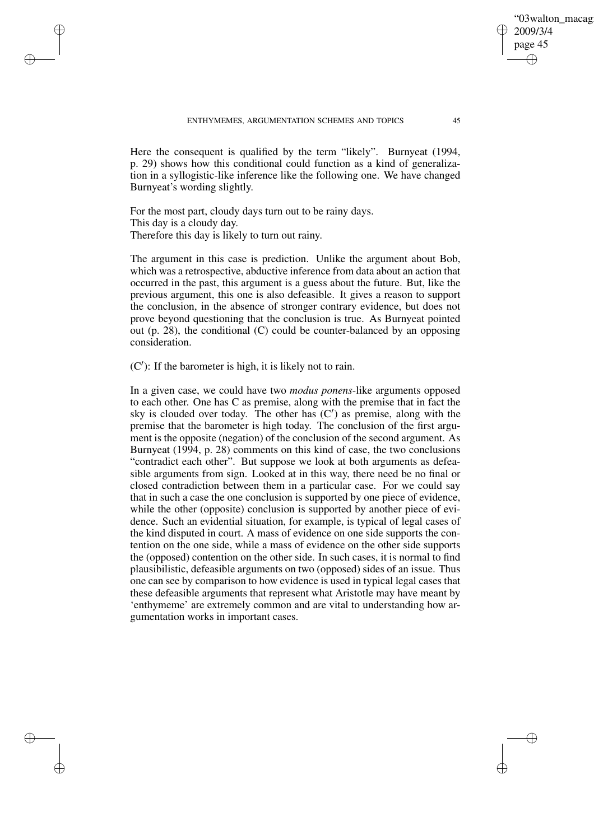Here the consequent is qualified by the term "likely". Burnyeat (1994, p. 29) shows how this conditional could function as a kind of generalization in a syllogistic-like inference like the following one. We have changed Burnyeat's wording slightly.

For the most part, cloudy days turn out to be rainy days. This day is a cloudy day. Therefore this day is likely to turn out rainy.

✐

✐

✐

✐

The argument in this case is prediction. Unlike the argument about Bob, which was a retrospective, abductive inference from data about an action that occurred in the past, this argument is a guess about the future. But, like the previous argument, this one is also defeasible. It gives a reason to support the conclusion, in the absence of stronger contrary evidence, but does not prove beyond questioning that the conclusion is true. As Burnyeat pointed out (p. 28), the conditional (C) could be counter-balanced by an opposing consideration.

 $(C')$ : If the barometer is high, it is likely not to rain.

In a given case, we could have two *modus ponens*-like arguments opposed to each other. One has C as premise, along with the premise that in fact the sky is clouded over today. The other has  $(C')$  as premise, along with the premise that the barometer is high today. The conclusion of the first argument is the opposite (negation) of the conclusion of the second argument. As Burnyeat (1994, p. 28) comments on this kind of case, the two conclusions "contradict each other". But suppose we look at both arguments as defeasible arguments from sign. Looked at in this way, there need be no final or closed contradiction between them in a particular case. For we could say that in such a case the one conclusion is supported by one piece of evidence, while the other (opposite) conclusion is supported by another piece of evidence. Such an evidential situation, for example, is typical of legal cases of the kind disputed in court. A mass of evidence on one side supports the contention on the one side, while a mass of evidence on the other side supports the (opposed) contention on the other side. In such cases, it is normal to find plausibilistic, defeasible arguments on two (opposed) sides of an issue. Thus one can see by comparison to how evidence is used in typical legal cases that these defeasible arguments that represent what Aristotle may have meant by 'enthymeme' are extremely common and are vital to understanding how argumentation works in important cases.

'03walton\_macag

2009/3/4 page 45

✐

✐

✐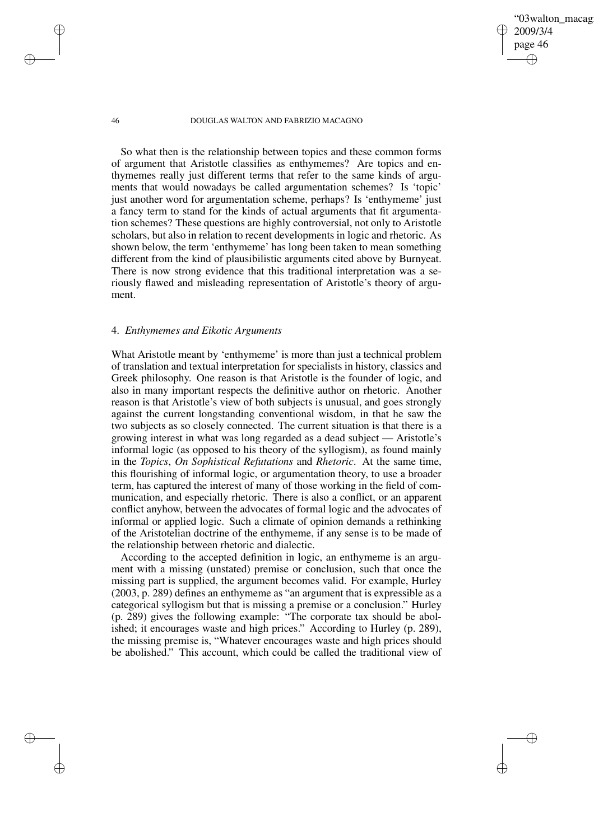'03walton\_macag 2009/3/4 page 46 ✐ ✐

✐

✐

46 DOUGLAS WALTON AND FABRIZIO MACAGNO

So what then is the relationship between topics and these common forms of argument that Aristotle classifies as enthymemes? Are topics and enthymemes really just different terms that refer to the same kinds of arguments that would nowadays be called argumentation schemes? Is 'topic' just another word for argumentation scheme, perhaps? Is 'enthymeme' just a fancy term to stand for the kinds of actual arguments that fit argumentation schemes? These questions are highly controversial, not only to Aristotle scholars, but also in relation to recent developments in logic and rhetoric. As shown below, the term 'enthymeme' has long been taken to mean something different from the kind of plausibilistic arguments cited above by Burnyeat. There is now strong evidence that this traditional interpretation was a seriously flawed and misleading representation of Aristotle's theory of argument.

# 4. *Enthymemes and Eikotic Arguments*

What Aristotle meant by 'enthymeme' is more than just a technical problem of translation and textual interpretation for specialists in history, classics and Greek philosophy. One reason is that Aristotle is the founder of logic, and also in many important respects the definitive author on rhetoric. Another reason is that Aristotle's view of both subjects is unusual, and goes strongly against the current longstanding conventional wisdom, in that he saw the two subjects as so closely connected. The current situation is that there is a growing interest in what was long regarded as a dead subject — Aristotle's informal logic (as opposed to his theory of the syllogism), as found mainly in the *Topics*, *On Sophistical Refutations* and *Rhetoric*. At the same time, this flourishing of informal logic, or argumentation theory, to use a broader term, has captured the interest of many of those working in the field of communication, and especially rhetoric. There is also a conflict, or an apparent conflict anyhow, between the advocates of formal logic and the advocates of informal or applied logic. Such a climate of opinion demands a rethinking of the Aristotelian doctrine of the enthymeme, if any sense is to be made of the relationship between rhetoric and dialectic.

According to the accepted definition in logic, an enthymeme is an argument with a missing (unstated) premise or conclusion, such that once the missing part is supplied, the argument becomes valid. For example, Hurley (2003, p. 289) defines an enthymeme as "an argument that is expressible as a categorical syllogism but that is missing a premise or a conclusion." Hurley (p. 289) gives the following example: "The corporate tax should be abolished; it encourages waste and high prices." According to Hurley (p. 289), the missing premise is, "Whatever encourages waste and high prices should be abolished." This account, which could be called the traditional view of

✐

✐

✐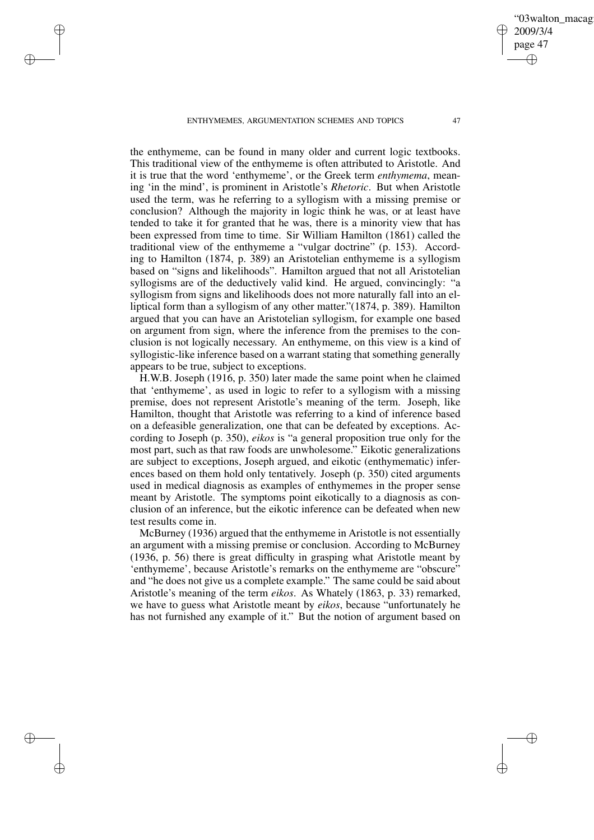✐

✐

✐

✐

the enthymeme, can be found in many older and current logic textbooks. This traditional view of the enthymeme is often attributed to Aristotle. And it is true that the word 'enthymeme', or the Greek term *enthymema*, meaning 'in the mind', is prominent in Aristotle's *Rhetoric*. But when Aristotle used the term, was he referring to a syllogism with a missing premise or conclusion? Although the majority in logic think he was, or at least have tended to take it for granted that he was, there is a minority view that has been expressed from time to time. Sir William Hamilton (1861) called the traditional view of the enthymeme a "vulgar doctrine" (p. 153). According to Hamilton (1874, p. 389) an Aristotelian enthymeme is a syllogism based on "signs and likelihoods". Hamilton argued that not all Aristotelian syllogisms are of the deductively valid kind. He argued, convincingly: "a syllogism from signs and likelihoods does not more naturally fall into an elliptical form than a syllogism of any other matter."(1874, p. 389). Hamilton argued that you can have an Aristotelian syllogism, for example one based on argument from sign, where the inference from the premises to the conclusion is not logically necessary. An enthymeme, on this view is a kind of syllogistic-like inference based on a warrant stating that something generally appears to be true, subject to exceptions.

H.W.B. Joseph (1916, p. 350) later made the same point when he claimed that 'enthymeme', as used in logic to refer to a syllogism with a missing premise, does not represent Aristotle's meaning of the term. Joseph, like Hamilton, thought that Aristotle was referring to a kind of inference based on a defeasible generalization, one that can be defeated by exceptions. According to Joseph (p. 350), *eikos* is "a general proposition true only for the most part, such as that raw foods are unwholesome." Eikotic generalizations are subject to exceptions, Joseph argued, and eikotic (enthymematic) inferences based on them hold only tentatively. Joseph (p. 350) cited arguments used in medical diagnosis as examples of enthymemes in the proper sense meant by Aristotle. The symptoms point eikotically to a diagnosis as conclusion of an inference, but the eikotic inference can be defeated when new test results come in.

McBurney (1936) argued that the enthymeme in Aristotle is not essentially an argument with a missing premise or conclusion. According to McBurney (1936, p. 56) there is great difficulty in grasping what Aristotle meant by 'enthymeme', because Aristotle's remarks on the enthymeme are "obscure" and "he does not give us a complete example." The same could be said about Aristotle's meaning of the term *eikos*. As Whately (1863, p. 33) remarked, we have to guess what Aristotle meant by *eikos*, because "unfortunately he has not furnished any example of it." But the notion of argument based on

03walton\_macag

2009/3/4 page 47

✐

✐

✐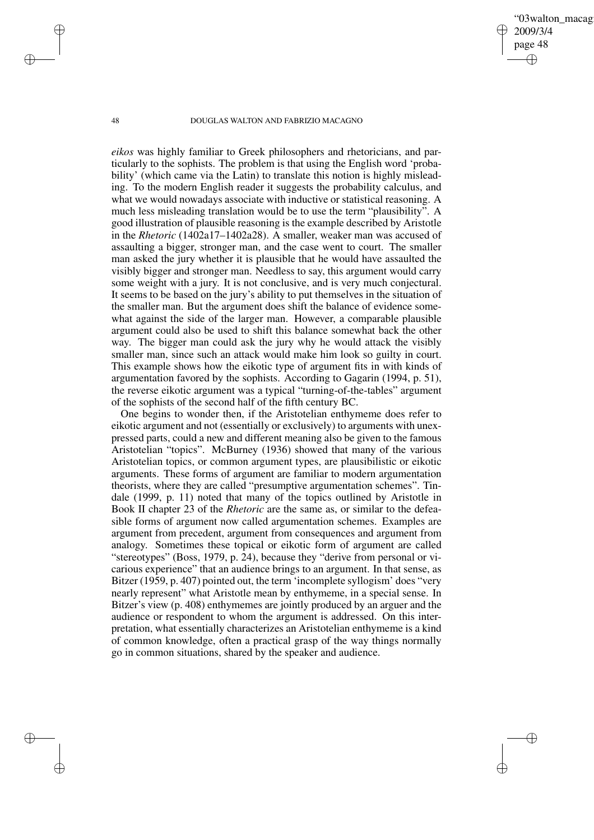'03walton\_macag 2009/3/4 page 48 ✐ ✐

✐

✐

#### 48 DOUGLAS WALTON AND FABRIZIO MACAGNO

*eikos* was highly familiar to Greek philosophers and rhetoricians, and particularly to the sophists. The problem is that using the English word 'probability' (which came via the Latin) to translate this notion is highly misleading. To the modern English reader it suggests the probability calculus, and what we would nowadays associate with inductive or statistical reasoning. A much less misleading translation would be to use the term "plausibility". A good illustration of plausible reasoning is the example described by Aristotle in the *Rhetoric* (1402a17–1402a28). A smaller, weaker man was accused of assaulting a bigger, stronger man, and the case went to court. The smaller man asked the jury whether it is plausible that he would have assaulted the visibly bigger and stronger man. Needless to say, this argument would carry some weight with a jury. It is not conclusive, and is very much conjectural. It seems to be based on the jury's ability to put themselves in the situation of the smaller man. But the argument does shift the balance of evidence somewhat against the side of the larger man. However, a comparable plausible argument could also be used to shift this balance somewhat back the other way. The bigger man could ask the jury why he would attack the visibly smaller man, since such an attack would make him look so guilty in court. This example shows how the eikotic type of argument fits in with kinds of argumentation favored by the sophists. According to Gagarin (1994, p. 51), the reverse eikotic argument was a typical "turning-of-the-tables" argument of the sophists of the second half of the fifth century BC.

One begins to wonder then, if the Aristotelian enthymeme does refer to eikotic argument and not (essentially or exclusively) to arguments with unexpressed parts, could a new and different meaning also be given to the famous Aristotelian "topics". McBurney (1936) showed that many of the various Aristotelian topics, or common argument types, are plausibilistic or eikotic arguments. These forms of argument are familiar to modern argumentation theorists, where they are called "presumptive argumentation schemes". Tindale (1999, p. 11) noted that many of the topics outlined by Aristotle in Book II chapter 23 of the *Rhetoric* are the same as, or similar to the defeasible forms of argument now called argumentation schemes. Examples are argument from precedent, argument from consequences and argument from analogy. Sometimes these topical or eikotic form of argument are called "stereotypes" (Boss, 1979, p. 24), because they "derive from personal or vicarious experience" that an audience brings to an argument. In that sense, as Bitzer (1959, p. 407) pointed out, the term 'incomplete syllogism' does "very nearly represent" what Aristotle mean by enthymeme, in a special sense. In Bitzer's view (p. 408) enthymemes are jointly produced by an arguer and the audience or respondent to whom the argument is addressed. On this interpretation, what essentially characterizes an Aristotelian enthymeme is a kind of common knowledge, often a practical grasp of the way things normally go in common situations, shared by the speaker and audience.

✐

✐

✐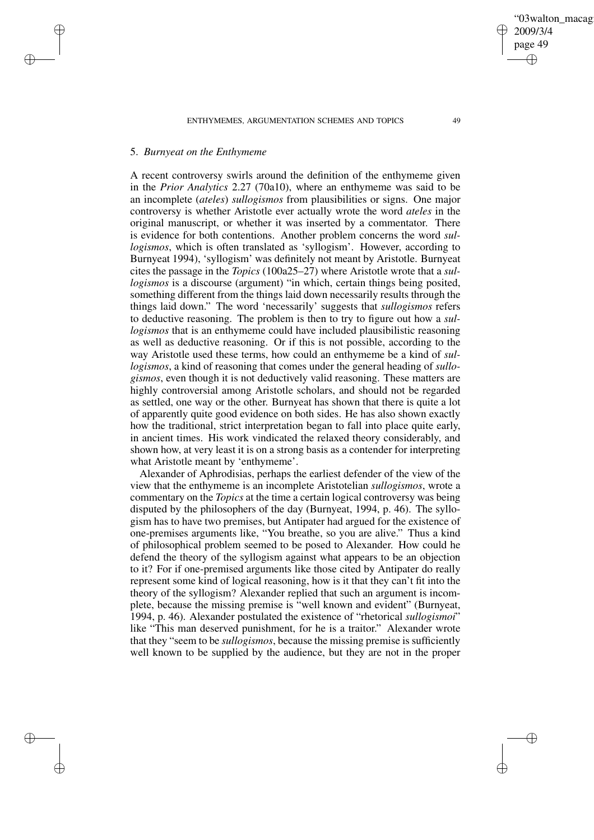### 5. *Burnyeat on the Enthymeme*

✐

✐

✐

✐

A recent controversy swirls around the definition of the enthymeme given in the *Prior Analytics* 2.27 (70a10), where an enthymeme was said to be an incomplete (*ateles*) *sullogismos* from plausibilities or signs. One major controversy is whether Aristotle ever actually wrote the word *ateles* in the original manuscript, or whether it was inserted by a commentator. There is evidence for both contentions. Another problem concerns the word *sullogismos*, which is often translated as 'syllogism'. However, according to Burnyeat 1994), 'syllogism' was definitely not meant by Aristotle. Burnyeat cites the passage in the *Topics* (100a25–27) where Aristotle wrote that a *sullogismos* is a discourse (argument) "in which, certain things being posited, something different from the things laid down necessarily results through the things laid down." The word 'necessarily' suggests that *sullogismos* refers to deductive reasoning. The problem is then to try to figure out how a *sullogismos* that is an enthymeme could have included plausibilistic reasoning as well as deductive reasoning. Or if this is not possible, according to the way Aristotle used these terms, how could an enthymeme be a kind of *sullogismos*, a kind of reasoning that comes under the general heading of *sullogismos*, even though it is not deductively valid reasoning. These matters are highly controversial among Aristotle scholars, and should not be regarded as settled, one way or the other. Burnyeat has shown that there is quite a lot of apparently quite good evidence on both sides. He has also shown exactly how the traditional, strict interpretation began to fall into place quite early, in ancient times. His work vindicated the relaxed theory considerably, and shown how, at very least it is on a strong basis as a contender for interpreting what Aristotle meant by 'enthymeme'.

Alexander of Aphrodisias, perhaps the earliest defender of the view of the view that the enthymeme is an incomplete Aristotelian *sullogismos*, wrote a commentary on the *Topics* at the time a certain logical controversy was being disputed by the philosophers of the day (Burnyeat, 1994, p. 46). The syllogism has to have two premises, but Antipater had argued for the existence of one-premises arguments like, "You breathe, so you are alive." Thus a kind of philosophical problem seemed to be posed to Alexander. How could he defend the theory of the syllogism against what appears to be an objection to it? For if one-premised arguments like those cited by Antipater do really represent some kind of logical reasoning, how is it that they can't fit into the theory of the syllogism? Alexander replied that such an argument is incomplete, because the missing premise is "well known and evident" (Burnyeat, 1994, p. 46). Alexander postulated the existence of "rhetorical *sullogismoi*" like "This man deserved punishment, for he is a traitor." Alexander wrote that they "seem to be *sullogismos*, because the missing premise is sufficiently well known to be supplied by the audience, but they are not in the proper

✐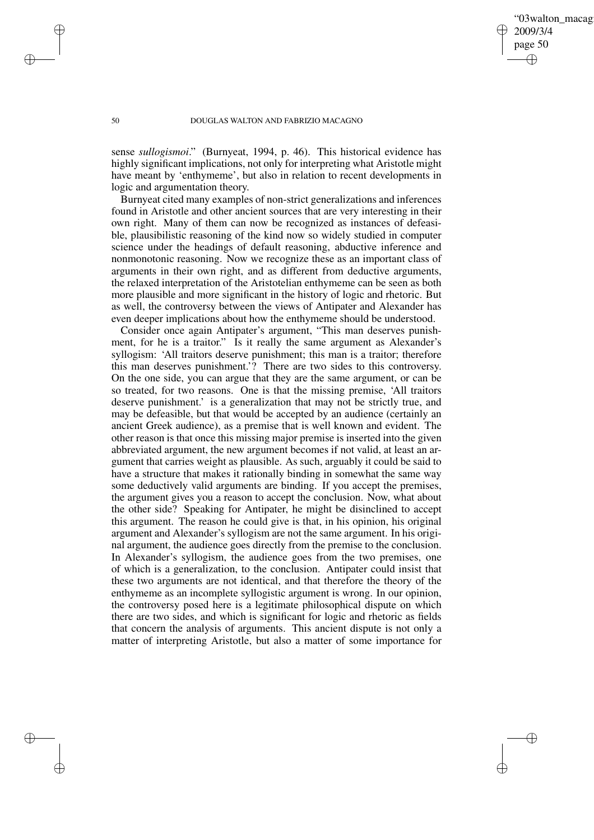'03walton\_macag 2009/3/4 page 50 ✐ ✐

✐

✐

#### 50 DOUGLAS WALTON AND FABRIZIO MACAGNO

sense *sullogismoi*." (Burnyeat, 1994, p. 46). This historical evidence has highly significant implications, not only for interpreting what Aristotle might have meant by 'enthymeme', but also in relation to recent developments in logic and argumentation theory.

Burnyeat cited many examples of non-strict generalizations and inferences found in Aristotle and other ancient sources that are very interesting in their own right. Many of them can now be recognized as instances of defeasible, plausibilistic reasoning of the kind now so widely studied in computer science under the headings of default reasoning, abductive inference and nonmonotonic reasoning. Now we recognize these as an important class of arguments in their own right, and as different from deductive arguments, the relaxed interpretation of the Aristotelian enthymeme can be seen as both more plausible and more significant in the history of logic and rhetoric. But as well, the controversy between the views of Antipater and Alexander has even deeper implications about how the enthymeme should be understood.

Consider once again Antipater's argument, "This man deserves punishment, for he is a traitor." Is it really the same argument as Alexander's syllogism: 'All traitors deserve punishment; this man is a traitor; therefore this man deserves punishment.'? There are two sides to this controversy. On the one side, you can argue that they are the same argument, or can be so treated, for two reasons. One is that the missing premise, 'All traitors deserve punishment.' is a generalization that may not be strictly true, and may be defeasible, but that would be accepted by an audience (certainly an ancient Greek audience), as a premise that is well known and evident. The other reason is that once this missing major premise is inserted into the given abbreviated argument, the new argument becomes if not valid, at least an argument that carries weight as plausible. As such, arguably it could be said to have a structure that makes it rationally binding in somewhat the same way some deductively valid arguments are binding. If you accept the premises, the argument gives you a reason to accept the conclusion. Now, what about the other side? Speaking for Antipater, he might be disinclined to accept this argument. The reason he could give is that, in his opinion, his original argument and Alexander's syllogism are not the same argument. In his original argument, the audience goes directly from the premise to the conclusion. In Alexander's syllogism, the audience goes from the two premises, one of which is a generalization, to the conclusion. Antipater could insist that these two arguments are not identical, and that therefore the theory of the enthymeme as an incomplete syllogistic argument is wrong. In our opinion, the controversy posed here is a legitimate philosophical dispute on which there are two sides, and which is significant for logic and rhetoric as fields that concern the analysis of arguments. This ancient dispute is not only a matter of interpreting Aristotle, but also a matter of some importance for

✐

✐

✐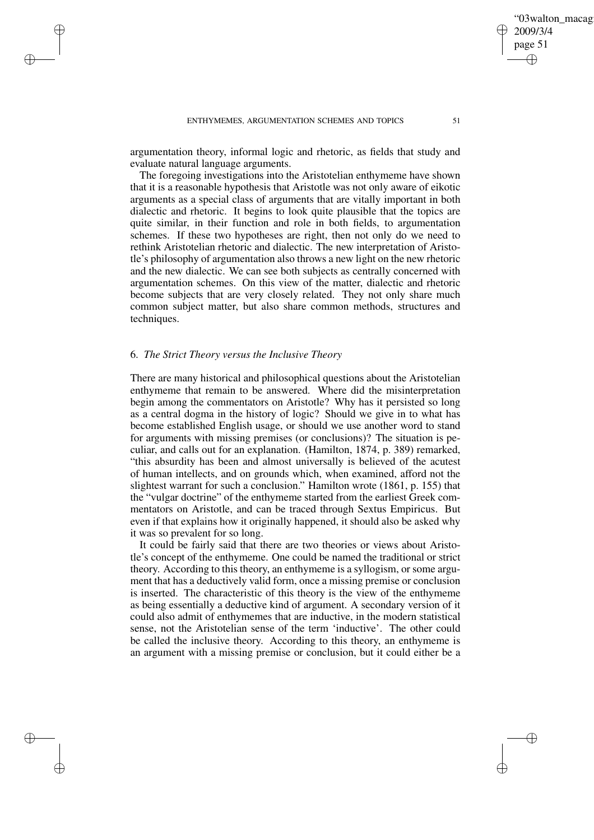argumentation theory, informal logic and rhetoric, as fields that study and

evaluate natural language arguments. The foregoing investigations into the Aristotelian enthymeme have shown that it is a reasonable hypothesis that Aristotle was not only aware of eikotic arguments as a special class of arguments that are vitally important in both dialectic and rhetoric. It begins to look quite plausible that the topics are quite similar, in their function and role in both fields, to argumentation schemes. If these two hypotheses are right, then not only do we need to rethink Aristotelian rhetoric and dialectic. The new interpretation of Aristotle's philosophy of argumentation also throws a new light on the new rhetoric and the new dialectic. We can see both subjects as centrally concerned with argumentation schemes. On this view of the matter, dialectic and rhetoric become subjects that are very closely related. They not only share much common subject matter, but also share common methods, structures and techniques.

# 6. *The Strict Theory versus the Inclusive Theory*

✐

✐

✐

✐

There are many historical and philosophical questions about the Aristotelian enthymeme that remain to be answered. Where did the misinterpretation begin among the commentators on Aristotle? Why has it persisted so long as a central dogma in the history of logic? Should we give in to what has become established English usage, or should we use another word to stand for arguments with missing premises (or conclusions)? The situation is peculiar, and calls out for an explanation. (Hamilton, 1874, p. 389) remarked, "this absurdity has been and almost universally is believed of the acutest of human intellects, and on grounds which, when examined, afford not the slightest warrant for such a conclusion." Hamilton wrote (1861, p. 155) that the "vulgar doctrine" of the enthymeme started from the earliest Greek commentators on Aristotle, and can be traced through Sextus Empiricus. But even if that explains how it originally happened, it should also be asked why it was so prevalent for so long.

It could be fairly said that there are two theories or views about Aristotle's concept of the enthymeme. One could be named the traditional or strict theory. According to this theory, an enthymeme is a syllogism, or some argument that has a deductively valid form, once a missing premise or conclusion is inserted. The characteristic of this theory is the view of the enthymeme as being essentially a deductive kind of argument. A secondary version of it could also admit of enthymemes that are inductive, in the modern statistical sense, not the Aristotelian sense of the term 'inductive'. The other could be called the inclusive theory. According to this theory, an enthymeme is an argument with a missing premise or conclusion, but it could either be a

'03walton\_macag

2009/3/4 page 51

✐

✐

✐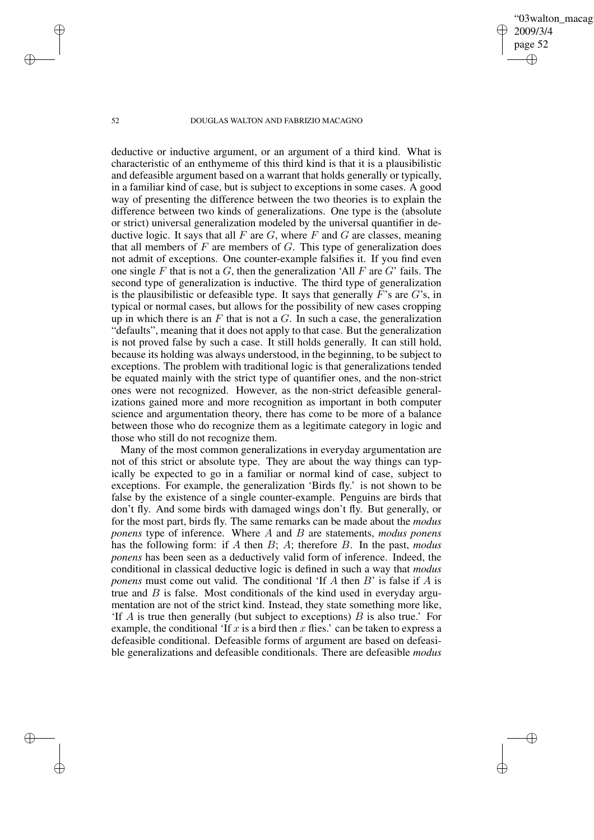'03walton\_macag 2009/3/4 page 52 ✐ ✐

✐

✐

#### 52 DOUGLAS WALTON AND FABRIZIO MACAGNO

deductive or inductive argument, or an argument of a third kind. What is characteristic of an enthymeme of this third kind is that it is a plausibilistic and defeasible argument based on a warrant that holds generally or typically, in a familiar kind of case, but is subject to exceptions in some cases. A good way of presenting the difference between the two theories is to explain the difference between two kinds of generalizations. One type is the (absolute or strict) universal generalization modeled by the universal quantifier in deductive logic. It says that all  $F$  are  $G$ , where  $F$  and  $G$  are classes, meaning that all members of  $F$  are members of  $G$ . This type of generalization does not admit of exceptions. One counter-example falsifies it. If you find even one single F that is not a G, then the generalization 'All F are  $G$ ' fails. The second type of generalization is inductive. The third type of generalization is the plausibilistic or defeasible type. It says that generally  $F$ 's are  $G$ 's, in typical or normal cases, but allows for the possibility of new cases cropping up in which there is an  $F$  that is not a  $G$ . In such a case, the generalization "defaults", meaning that it does not apply to that case. But the generalization is not proved false by such a case. It still holds generally. It can still hold, because its holding was always understood, in the beginning, to be subject to exceptions. The problem with traditional logic is that generalizations tended be equated mainly with the strict type of quantifier ones, and the non-strict ones were not recognized. However, as the non-strict defeasible generalizations gained more and more recognition as important in both computer science and argumentation theory, there has come to be more of a balance between those who do recognize them as a legitimate category in logic and those who still do not recognize them.

Many of the most common generalizations in everyday argumentation are not of this strict or absolute type. They are about the way things can typically be expected to go in a familiar or normal kind of case, subject to exceptions. For example, the generalization 'Birds fly.' is not shown to be false by the existence of a single counter-example. Penguins are birds that don't fly. And some birds with damaged wings don't fly. But generally, or for the most part, birds fly. The same remarks can be made about the *modus ponens* type of inference. Where A and B are statements, *modus ponens* has the following form: if A then B; A; therefore B. In the past, *modus ponens* has been seen as a deductively valid form of inference. Indeed, the conditional in classical deductive logic is defined in such a way that *modus ponens* must come out valid. The conditional 'If A then B' is false if A is true and  $B$  is false. Most conditionals of the kind used in everyday argumentation are not of the strict kind. Instead, they state something more like, 'If  $\overline{A}$  is true then generally (but subject to exceptions)  $\overline{B}$  is also true.' For example, the conditional 'If x is a bird then x flies.' can be taken to express a defeasible conditional. Defeasible forms of argument are based on defeasible generalizations and defeasible conditionals. There are defeasible *modus*

✐

✐

✐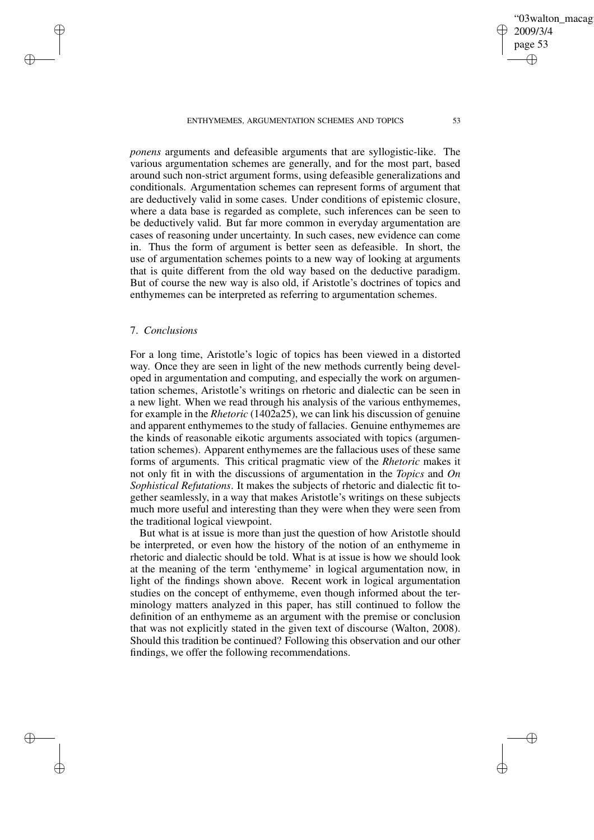*ponens* arguments and defeasible arguments that are syllogistic-like. The various argumentation schemes are generally, and for the most part, based around such non-strict argument forms, using defeasible generalizations and conditionals. Argumentation schemes can represent forms of argument that are deductively valid in some cases. Under conditions of epistemic closure, where a data base is regarded as complete, such inferences can be seen to be deductively valid. But far more common in everyday argumentation are cases of reasoning under uncertainty. In such cases, new evidence can come in. Thus the form of argument is better seen as defeasible. In short, the use of argumentation schemes points to a new way of looking at arguments that is quite different from the old way based on the deductive paradigm. But of course the new way is also old, if Aristotle's doctrines of topics and enthymemes can be interpreted as referring to argumentation schemes.

# 7. *Conclusions*

✐

✐

✐

✐

For a long time, Aristotle's logic of topics has been viewed in a distorted way. Once they are seen in light of the new methods currently being developed in argumentation and computing, and especially the work on argumentation schemes, Aristotle's writings on rhetoric and dialectic can be seen in a new light. When we read through his analysis of the various enthymemes, for example in the *Rhetoric* (1402a25), we can link his discussion of genuine and apparent enthymemes to the study of fallacies. Genuine enthymemes are the kinds of reasonable eikotic arguments associated with topics (argumentation schemes). Apparent enthymemes are the fallacious uses of these same forms of arguments. This critical pragmatic view of the *Rhetoric* makes it not only fit in with the discussions of argumentation in the *Topics* and *On Sophistical Refutations*. It makes the subjects of rhetoric and dialectic fit together seamlessly, in a way that makes Aristotle's writings on these subjects much more useful and interesting than they were when they were seen from the traditional logical viewpoint.

But what is at issue is more than just the question of how Aristotle should be interpreted, or even how the history of the notion of an enthymeme in rhetoric and dialectic should be told. What is at issue is how we should look at the meaning of the term 'enthymeme' in logical argumentation now, in light of the findings shown above. Recent work in logical argumentation studies on the concept of enthymeme, even though informed about the terminology matters analyzed in this paper, has still continued to follow the definition of an enthymeme as an argument with the premise or conclusion that was not explicitly stated in the given text of discourse (Walton, 2008). Should this tradition be continued? Following this observation and our other findings, we offer the following recommendations.

'03walton\_macag

2009/3/4 page 53

✐

✐

✐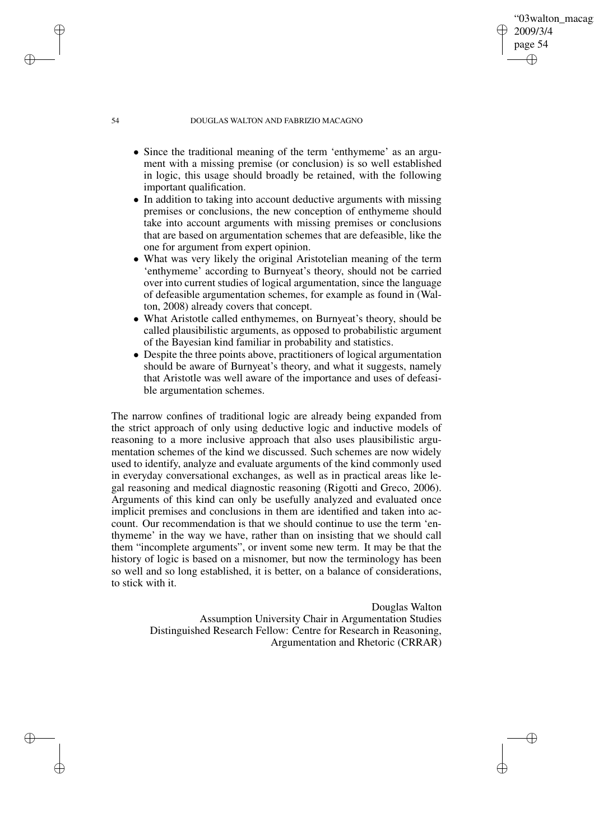#### 54 DOUGLAS WALTON AND FABRIZIO MACAGNO

• Since the traditional meaning of the term 'enthymeme' as an argument with a missing premise (or conclusion) is so well established in logic, this usage should broadly be retained, with the following important qualification.

'03walton\_macag

2009/3/4 page 54

✐

✐

✐

✐

- In addition to taking into account deductive arguments with missing premises or conclusions, the new conception of enthymeme should take into account arguments with missing premises or conclusions that are based on argumentation schemes that are defeasible, like the one for argument from expert opinion.
- What was very likely the original Aristotelian meaning of the term 'enthymeme' according to Burnyeat's theory, should not be carried over into current studies of logical argumentation, since the language of defeasible argumentation schemes, for example as found in (Walton, 2008) already covers that concept.
- What Aristotle called enthymemes, on Burnyeat's theory, should be called plausibilistic arguments, as opposed to probabilistic argument of the Bayesian kind familiar in probability and statistics.
- Despite the three points above, practitioners of logical argumentation should be aware of Burnyeat's theory, and what it suggests, namely that Aristotle was well aware of the importance and uses of defeasible argumentation schemes.

The narrow confines of traditional logic are already being expanded from the strict approach of only using deductive logic and inductive models of reasoning to a more inclusive approach that also uses plausibilistic argumentation schemes of the kind we discussed. Such schemes are now widely used to identify, analyze and evaluate arguments of the kind commonly used in everyday conversational exchanges, as well as in practical areas like legal reasoning and medical diagnostic reasoning (Rigotti and Greco, 2006). Arguments of this kind can only be usefully analyzed and evaluated once implicit premises and conclusions in them are identified and taken into account. Our recommendation is that we should continue to use the term 'enthymeme' in the way we have, rather than on insisting that we should call them "incomplete arguments", or invent some new term. It may be that the history of logic is based on a misnomer, but now the terminology has been so well and so long established, it is better, on a balance of considerations, to stick with it.

> Douglas Walton Assumption University Chair in Argumentation Studies Distinguished Research Fellow: Centre for Research in Reasoning, Argumentation and Rhetoric (CRRAR)

✐

✐

✐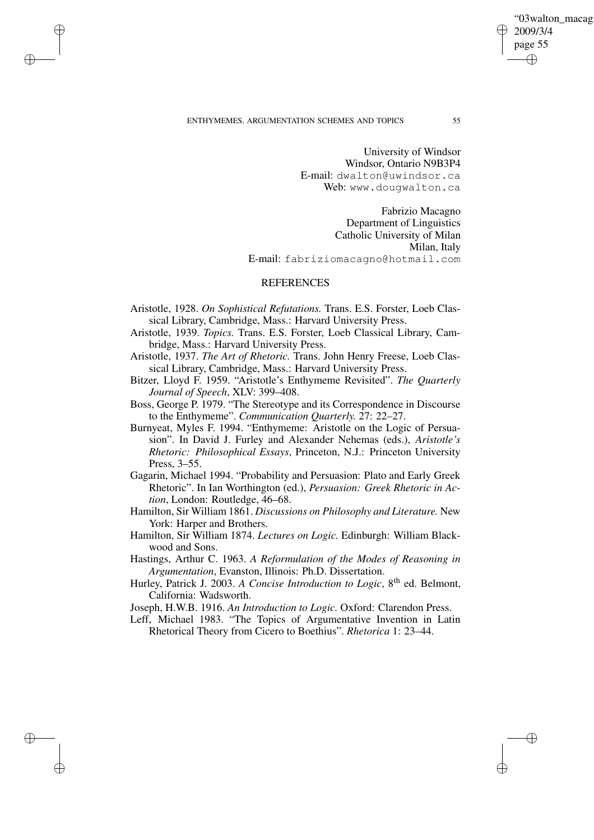✐

✐

✐

✐

University of Windsor Windsor, Ontario N9B3P4 E-mail: dwalton@uwindsor.ca Web: www.dougwalton.ca

Fabrizio Macagno Department of Linguistics Catholic University of Milan Milan, Italy E-mail: fabriziomacagno@hotmail.com

# **REFERENCES**

- Aristotle, 1928. *On Sophistical Refutations.* Trans. E.S. Forster, Loeb Classical Library, Cambridge, Mass.: Harvard University Press.
- Aristotle, 1939. *Topics.* Trans. E.S. Forster, Loeb Classical Library, Cambridge, Mass.: Harvard University Press.
- Aristotle, 1937. *The Art of Rhetoric.* Trans. John Henry Freese, Loeb Classical Library, Cambridge, Mass.: Harvard University Press.
- Bitzer, Lloyd F. 1959. "Aristotle's Enthymeme Revisited". *The Quarterly Journal of Speech*, XLV: 399–408.
- Boss, George P. 1979. "The Stereotype and its Correspondence in Discourse to the Enthymeme". *Communication Quarterly.* 27: 22–27.
- Burnyeat, Myles F. 1994. "Enthymeme: Aristotle on the Logic of Persuasion". In David J. Furley and Alexander Nehemas (eds.), *Aristotle's Rhetoric: Philosophical Essays*, Princeton, N.J.: Princeton University Press, 3–55.
- Gagarin, Michael 1994. "Probability and Persuasion: Plato and Early Greek Rhetoric". In Ian Worthington (ed.), *Persuasion: Greek Rhetoric in Action*, London: Routledge, 46–68.
- Hamilton, Sir William 1861. *Discussions on Philosophy and Literature.* New York: Harper and Brothers.
- Hamilton, Sir William 1874. *Lectures on Logic.* Edinburgh: William Blackwood and Sons.
- Hastings, Arthur C. 1963. *A Reformulation of the Modes of Reasoning in Argumentation*, Evanston, Illinois: Ph.D. Dissertation.
- Hurley, Patrick J. 2003. *A Concise Introduction to Logic*, 8 th ed. Belmont, California: Wadsworth.
- Joseph, H.W.B. 1916. *An Introduction to Logic.* Oxford: Clarendon Press.
- Leff, Michael 1983. "The Topics of Argumentative Invention in Latin Rhetorical Theory from Cicero to Boethius". *Rhetorica* 1: 23–44.

"03walton\_macag

2009/3/4 page 55

✐

✐

✐